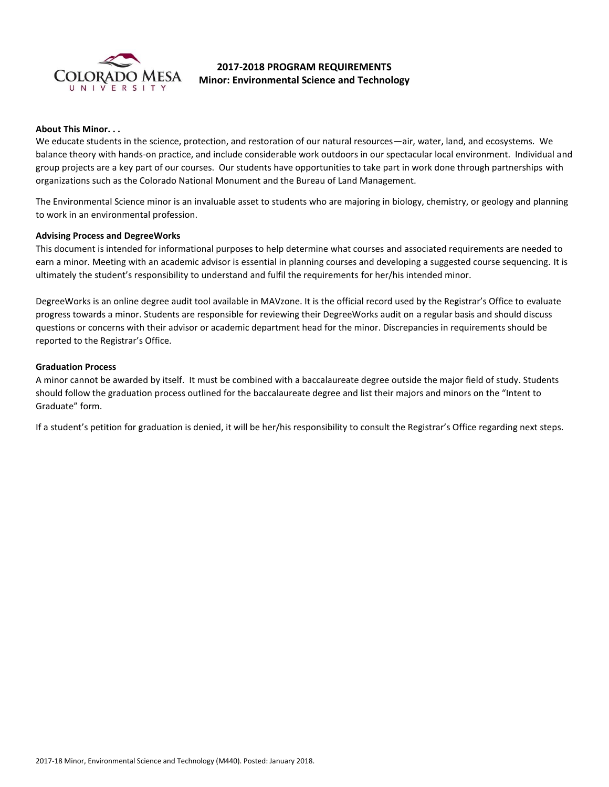

# **2017-2018 PROGRAM REQUIREMENTS Minor: Environmental Science and Technology**

#### **About This Minor. . .**

We educate students in the science, protection, and restoration of our natural resources—air, water, land, and ecosystems. We balance theory with hands-on practice, and include considerable work outdoors in our spectacular local environment. Individual and group projects are a key part of our courses. Our students have opportunities to take part in work done through partnerships with organizations such as the Colorado National Monument and the Bureau of Land Management.

The Environmental Science minor is an invaluable asset to students who are majoring in biology, chemistry, or geology and planning to work in an environmental profession.

#### **Advising Process and DegreeWorks**

This document is intended for informational purposes to help determine what courses and associated requirements are needed to earn a minor. Meeting with an academic advisor is essential in planning courses and developing a suggested course sequencing. It is ultimately the student's responsibility to understand and fulfil the requirements for her/his intended minor.

DegreeWorks is an online degree audit tool available in MAVzone. It is the official record used by the Registrar's Office to evaluate progress towards a minor. Students are responsible for reviewing their DegreeWorks audit on a regular basis and should discuss questions or concerns with their advisor or academic department head for the minor. Discrepancies in requirements should be reported to the Registrar's Office.

#### **Graduation Process**

A minor cannot be awarded by itself. It must be combined with a baccalaureate degree outside the major field of study. Students should follow the graduation process outlined for the baccalaureate degree and list their majors and minors on the "Intent to Graduate" form.

If a student's petition for graduation is denied, it will be her/his responsibility to consult the Registrar's Office regarding next steps.